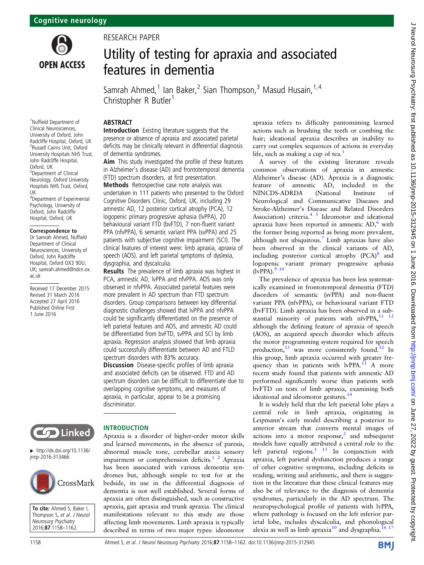

1 Nuffield Department of Clinical Neurosciences, University of Oxford, John Radcliffe Hospital, Oxford, UK <sup>2</sup>Russell Cairns Unit, Oxford University Hospitals NHS Trust, John Radcliffe Hospital, Oxford, UK <sup>3</sup>Department of Clinical Neurology, Oxford University Hospitals NHS Trust, Oxford,

4 Department of Experimental Psychology, University of Oxford, John Radcliffe Hospital, Oxford, UK Correspondence to Dr Samrah Ahmed, Nuffield Department of Clinical Neurosciences, University of Oxford, John Radcliffe Hospital, Oxford OX3 9DU, UK; samrah.ahmed@ndcn.ox.

Received 17 December 2015 Revised 31 March 2016 Accepted 27 April 2016 Published Online First 1 June 2016

UK

ac.uk

## RESEARCH PAPER

# Utility of testing for apraxia and associated features in dementia

Samrah Ahmed,<sup>1</sup> Ian Baker,<sup>2</sup> Sian Thompson,<sup>3</sup> Masud Husain,<sup>1,4</sup> Christopher R Butler<sup>1</sup>

### ABSTRACT

Introduction Existing literature suggests that the presence or absence of apraxia and associated parietal deficits may be clinically relevant in differential diagnosis of dementia syndromes.

Aim This study investigated the profile of these features in Alzheimer's disease (AD) and frontotemporal dementia (FTD) spectrum disorders, at first presentation.

Methods Retrospective case note analysis was undertaken in 111 patients who presented to the Oxford Cognitive Disorders Clinic, Oxford, UK, including 29 amnestic AD, 12 posterior cortical atrophy (PCA), 12 logopenic primary progressive aphasia (lvPPA), 20 behavioural variant FTD (bvFTD), 7 non-fluent variant PPA (nfvPPA), 6 semantic variant PPA (svPPA) and 25 patients with subjective cognitive impairment (SCI). The clinical features of interest were: limb apraxia, apraxia of speech (AOS), and left parietal symptoms of dyslexia, dysgraphia, and dyscalculia.

**Results** The prevalence of limb apraxia was highest in PCA, amnestic AD, lvPPA and nfvPPA. AOS was only observed in nfvPPA. Associated parietal features were more prevalent in AD spectrum than FTD spectrum disorders. Group comparisons between key differential diagnostic challenges showed that lvPPA and nfvPPA could be significantly differentiated on the presence of left parietal features and AOS, and amnestic AD could be differentiated from bvFTD, svPPA and SCI by limb apraxia. Regression analysis showed that limb apraxia could successfully differentiate between AD and FTLD spectrum disorders with 83% accuracy.

**Discussion** Disease-specific profiles of limb apraxia and associated deficits can be observed. FTD and AD spectrum disorders can be difficult to differentiate due to overlapping cognitive symptoms, and measures of apraxia, in particular, appear to be a promising discriminator.



## INTRODUCTION

Apraxia is a disorder of higher-order motor skills and learned movements, in the absence of paresis, abnormal muscle tone, cerebellar ataxia sensory impairment or comprehension deficits.<sup>1</sup> <sup>2</sup> Apraxia has been associated with various dementia syndromes but, although simple to test for at the bedside, its use in the differential diagnosis of dementia is not well established. Several forms of apraxia are often distinguished, such as constructive apraxia, gait apraxia and trunk apraxia. The clinical manifestations relevant to this study are those affecting limb movements. Limb apraxia is typically described in terms of two major types: ideomotor

apraxia refers to difficulty pantomiming learned actions such as brushing the teeth or combing the hair; ideational apraxia describes an inability to carry out complex sequences of actions in everyday life, such as making a cup of tea.<sup>[3](#page-3-0)</sup>

A survey of the existing literature reveals common observations of apraxia in amnestic Alzheimer's disease (AD). Apraxia is a diagnostic feature of amnestic AD, included in the NINCDS-ADRDA (National Institute of Neurological and Communicative Diseases and Stroke-Alzheimer's Disease and Related Disorders Association) criteria.<sup>[4 5](#page-3-0)</sup> Ideomotor and ideational apraxia have been reported in amnestic  $AD$ , with the former being reported as being more prevalent, although not ubiquitous.[7](#page-4-0) Limb apraxias have also been observed in the clinical variants of AD, including posterior cortical atrophy  $(PCA)^8$  $(PCA)^8$  and logopenic variant primary progressive aphasia  $(lvPPA)$ .  $910$ 

The prevalence of apraxia has been less systematically examined in frontotemporal dementia (FTD) disorders of semantic (svPPA) and non-fluent variant PPA (nfvPPA), or behavioural variant FTD (bvFTD). Limb apraxia has been observed in a substantial minority of patients with nfvPPA,<sup>11</sup> <sup>12</sup> although the defining feature of apraxia of speech (AOS), an acquired speech disorder which affects the motor programming system required for speech production,<sup>[13](#page-4-0)</sup> was more consistently found.<sup>12</sup> In this group, limb apraxia occurred with greater fre-quency than in patients with lvPPA.<sup>[11](#page-4-0)</sup> A more recent study found that patients with amnestic AD performed significantly worse than patients with bvFTD on tests of limb apraxia, examining both ideational and ideomotor gestures.<sup>1</sup>

It is widely held that the left parietal lobe plays a central role in limb apraxia, originating in Leipmann's early model describing a posterior to anterior stream that converts mental images of actions into a motor response, $\lambda$  and subsequent models have equally attributed a central role to the left parietal regions.<sup>1</sup> <sup>15</sup> In conjunction with apraxia, left parietal dysfunction produces a range of other cognitive symptoms, including deficits in reading, writing and arithmetic, and there is suggestion in the literature that these clinical features may also be of relevance to the diagnosis of dementia syndromes, particularly in the AD spectrum. The neuropsychological profile of patients with lvPPA, where pathology is focused on the left inferior parietal lobe, includes dyscalculia, and phonological alexia as well as limb apraxia<sup>[10](#page-4-0)</sup> and dysgraphia.<sup>16</sup> <sup>17</sup>

 $\blacktriangleright$  [http://dx.doi.org/10.1136/](http://dx.doi.org/10.1136/jnnp-2016-313466) [jnnp-2016-313466](http://dx.doi.org/10.1136/jnnp-2016-313466)



To cite: Ahmed S, Baker I, Thompson S, et al. J Neurol Neurosurg Psychiatry 2016;87:1158–1162.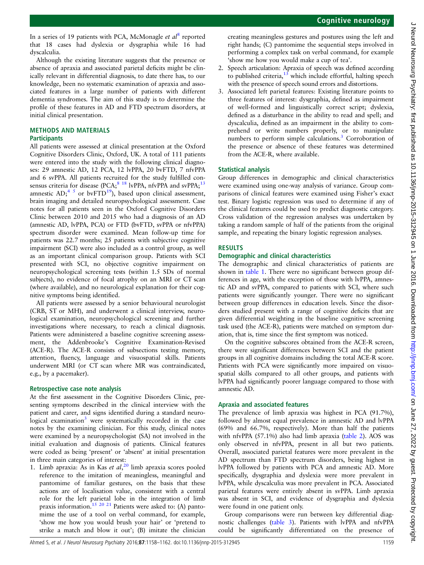In a series of 19 patients with PCA, McMonagle et  $al^8$  $al^8$  reported that 18 cases had dyslexia or dysgraphia while 16 had dyscalculia.

Although the existing literature suggests that the presence or absence of apraxia and associated parietal deficits might be clinically relevant in differential diagnosis, to date there has, to our knowledge, been no systematic examination of apraxia and associated features in a large number of patients with different dementia syndromes. The aim of this study is to determine the profile of these features in AD and FTD spectrum disorders, at initial clinical presentation.

#### METHODS AND MATERIALS **Participants**

All patients were assessed at clinical presentation at the Oxford Cognitive Disorders Clinic, Oxford, UK. A total of 111 patients were entered into the study with the following clinical diagnoses: 29 amnestic AD, 12 PCA, 12 lvPPA, 20 bvFTD, 7 nfvPPA and 6 svPPA. All patients recruited for the study fulfilled con-sensus criteria for disease (PCA;<sup>[8 18](#page-4-0)</sup> lvPPA, nfvPPA and svPPA;<sup>[13](#page-4-0)</sup> amnestic  $AD;^{4/5}$  or bvFTD<sup>19</sup>), based upon clinical assessment, brain imaging and detailed neuropsychological assessment. Case notes for all patients seen in the Oxford Cognitive Disorders Clinic between 2010 and 2015 who had a diagnosis of an AD (amnestic AD, lvPPA, PCA) or FTD (bvFTD, svPPA or nfvPPA) spectrum disorder were examined. Mean follow-up time for patients was 22.7 months; 25 patients with subjective cognitive impairment (SCI) were also included as a control group, as well as an important clinical comparison group. Patients with SCI presented with SCI, no objective cognitive impairment on neuropsychological screening tests (within 1.5 SDs of normal subjects), no evidence of focal atrophy on an MRI or CT scan (where available), and no neurological explanation for their cognitive symptoms being identified.

All patients were assessed by a senior behavioural neurologist (CRB, ST or MH), and underwent a clinical interview, neurological examination, neuropsychological screening and further investigations where necessary, to reach a clinical diagnosis. Patients were administered a baseline cognitive screening assessment, the Addenbrooke's Cognitive Examination-Revised (ACE-R). The ACE-R consists of subsections testing memory, attention, fluency, language and visuospatial skills. Patients underwent MRI (or CT scan where MR was contraindicated, e.g., by a pacemaker).

#### Retrospective case note analysis

At the first assessment in the Cognitive Disorders Clinic, presenting symptoms described in the clinical interview with the patient and carer, and signs identified during a standard neurological examination $3$  were systematically recorded in the case notes by the examining clinician. For this study, clinical notes were examined by a neuropsychologist (SA) not involved in the initial evaluation and diagnosis of patients. Clinical features were coded as being 'present' or 'absent' at initial presentation in three main categories of interest:

1. Limb apraxia: As in Kas et  $al$ ,<sup>[20](#page-4-0)</sup> limb apraxia scores pooled reference to the imitation of meaningless, meaningful and pantomime of familiar gestures, on the basis that these actions are of localisation value, consistent with a central role for the left parietal lobe in the integration of limb praxis information.<sup>[15 20 21](#page-4-0)</sup> Patients were asked to: (A) pantomime the use of a tool on verbal command, for example, 'show me how you would brush your hair' or 'pretend to strike a match and blow it out'; (B) imitate the clinician

creating meaningless gestures and postures using the left and right hands; (C) pantomime the sequential steps involved in performing a complex task on verbal command, for example 'show me how you would make a cup of tea'.

- 2. Speech articulation: Apraxia of speech was defined according to published criteria, $13$  which include effortful, halting speech with the presence of speech sound errors and distortions.
- 3. Associated left parietal features: Existing literature points to three features of interest: dysgraphia, defined as impairment of well-formed and linguistically correct script; dyslexia, defined as a disturbance in the ability to read and spell; and dyscalculia, defined as an impairment in the ability to comprehend or write numbers properly, or to manipulate numbers to perform simple calculations.<sup>[3](#page-3-0)</sup> Corroboration of the presence or absence of these features was determined from the ACE-R, where available.

## Statistical analysis

Group differences in demographic and clinical characteristics were examined using one-way analysis of variance. Group comparisons of clinical features were examined using Fisher's exact test. Binary logistic regression was used to determine if any of the clinical features could be used to predict diagnostic category. Cross validation of the regression analyses was undertaken by taking a random sample of half of the patients from the original sample, and repeating the binary logistic regression analyses.

## RESULTS

#### Demographic and clinical characteristics

The demographic and clinical characteristics of patients are shown in [table 1.](#page-2-0) There were no significant between group differences in age, with the exception of those with lvPPA, amnestic AD and svPPA, compared to patients with SCI, where such patients were significantly younger. There were no significant between group differences in education levels. Since the disorders studied present with a range of cognitive deficits that are given differential weighting in the baseline cognitive screening task used (the ACE-R), patients were matched on symptom duration, that is, time since the first symptom was noticed.

On the cognitive subscores obtained from the ACE-R screen, there were significant differences between SCI and the patient groups in all cognitive domains including the total ACE-R score. Patients with PCA were significantly more impaired on visuospatial skills compared to all other groups, and patients with lvPPA had significantly poorer language compared to those with amnestic AD.

## Apraxia and associated features

The prevalence of limb apraxia was highest in PCA (91.7%), followed by almost equal prevalence in amnestic AD and lvPPA (69% and 66.7%, respectively). More than half the patients with nfvPPA (57.1%) also had limb apraxia [\(table 2\)](#page-2-0). AOS was only observed in nfvPPA, present in all but two patients. Overall, associated parietal features were more prevalent in the AD spectrum than FTD spectrum disorders, being highest in lvPPA followed by patients with PCA and amnestic AD. More specifically, dysgraphia and dyslexia were more prevalent in lvPPA, while dyscalculia was more prevalent in PCA. Associated parietal features were entirely absent in svPPA. Limb apraxia was absent in SCI, and evidence of dysgraphia and dyslexia were found in one patient only.

Group comparisons were run between key differential diagnostic challenges ([table 3\)](#page-3-0). Patients with lvPPA and nfvPPA could be significantly differentiated on the presence of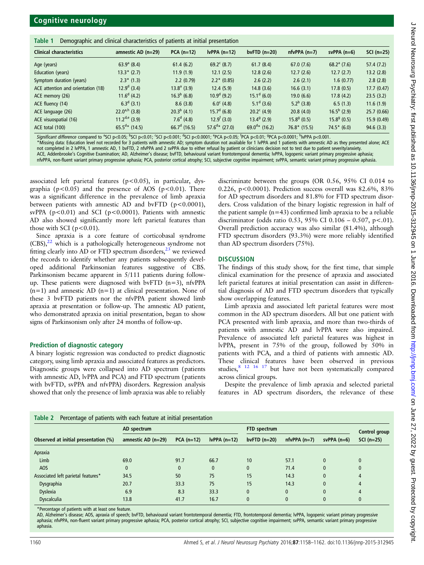<span id="page-2-0"></span>

| Table 1 Demographic and clinical characteristics of patients at initial presentation |  |  |  |
|--------------------------------------------------------------------------------------|--|--|--|

| <b>Clinical characteristics</b>    | amnestic AD (n=29)   | $PCA (n=12)$   | $IvPPA(n=12)$            | bvFTD $(n=20)$            | $nfvPPA(n=7)$  | $s$ v $PPA$ (n=6)    | $SCI(n=25)$ |
|------------------------------------|----------------------|----------------|--------------------------|---------------------------|----------------|----------------------|-------------|
| Age (years)                        | $63.9^{\circ}$ (8.4) | 61.4(6.2)      | 69.2 $^{c}$ (8.7)        | 61.7(8.4)                 | 67.0(7.6)      | $68.2^{\circ}$ (7.6) | 57.4(7.2)   |
| Education (years)                  | $13.3*$ (2.7)        | 11.9(1.9)      | 12.1(2.5)                | 12.8(2.6)                 | 12.7(2.6)      | 12.7(2.7)            | 13.2(2.8)   |
| Symptom duration (years)           | $2.3*$ (1.3)         | 2.2(0.79)      | $2.2*(0.85)$             | 2.6(2.2)                  | 2.6(2.1)       | 1.6(0.77)            | 2.8(2.8)    |
| ACE attention and orientation (18) | $12.9d$ (3.4)        | $13.8a$ (3.9)  | 12.4(5.9)                | 14.8(3.6)                 | 16.6(3.1)      | 17.8(0.5)            | 17.7(0.47)  |
| ACE memory (26)                    | $11.6^d$ (4.2)       | $16.3^b$ (6.8) | $10.9d$ (9.2)            | $15.1^d$ (6.0)            | 19.0(6.6)      | 17.8(4.2)            | 23.5(3.2)   |
| ACE fluency (14)                   | $6.3d$ (3.1)         | 8.6(3.8)       | $6.0^{\circ}$ (4.8)      | $5.1^d$ (3.6)             | $5.2^b$ (3.8)  | 6.5(1.3)             | 11.6(1.9)   |
| ACE language (26)                  | $22.0^{a,h}$ (3.8)   | $20.3^b$ (4.1) | $15.7^d$ (6.8)           | $20.2^{\circ}$ (4.9)      | 20.8(4.0)      | $16.5^{\rm b}$ (2.9) | 25.7(0.66)  |
| ACE visuospatial (16)              | $11.2^{d,e}$ (3.9)   | $7.6^d$ (4.8)  | $12.9^{f}$ (3.0)         | $13.49$ (2.9)             | $15.89$ (0.5)  | $15.89$ (0.5)        | 15.9 (0.49) |
| ACE total (100)                    | $65.5^{d*}$ (14.5)   | $66.7d$ (16.5) | $57.6^{\text{d}}$ (27.0) | 69.0 <sup>d*</sup> (16.2) | $76.8*$ (15.5) | $74.5* (6.0)$        | 94.6(3.3)   |

Significant difference compared to <sup>a</sup>SCI p<0.05; <sup>b</sup>SCI p<0.01; <sup>c</sup>SCI p<0.001; <sup>d</sup>SCI p<0.001; <sup>e</sup>PCA p<0.05; <sup>f</sup>PCA p<0.01; <sup>a</sup>PCA p<0.001; <sup>h</sup>WPPA p<0.001.

\*Missing data: Education level not recorded for 3 patients with amnestic AD; symptom duration not available for 1 lvPPA and 1 patients with amnestic AD as they presented alone; ACE not completed in 2 lvPPA, 1 amnestic AD, 1 bvFTD, 2 nfvPPA and 2 svPPA due to either refusal by patient or clinicians decision not to test due to patient severity/anxiety.

ACE, Addenbrooke's Cognitive Examination; AD, Alzheimer's disease; bvFTD, behavioural variant frontotemporal dementia; lvPPA, logopenic variant primary progressive aphasia;

nfvPPA, non-fluent variant primary progressive aphasia; PCA, posterior cortical atrophy; SCI, subjective cognitive impairment; svPPA, semantic variant primary progressive aphasia.

associated left parietal features ( $p < 0.05$ ), in particular, dysgraphia ( $p < 0.05$ ) and the presence of AOS ( $p < 0.01$ ). There was a significant difference in the prevalence of limb apraxia between patients with amnestic AD and bvFTD ( $p$ <0.0001), svPPA ( $p$ <0.01) and SCI ( $p$ <0.0001). Patients with amnestic AD also showed significantly more left parietal features than those with SCI ( $p < 0.01$ ).

Since apraxia is a core feature of corticobasal syndrome  $(CBS)$ ,<sup>22</sup> which is a pathologically heterogeneous syndrome not fitting clearly into AD or FTD spectrum disorders, $^{23}$  we reviewed the records to identify whether any patients subsequently developed additional Parkinsonian features suggestive of CBS. Parkinsonism became apparent in 5/111 patients during followup. These patients were diagnosed with bvFTD (n=3), nfvPPA  $(n=1)$  and amnestic AD  $(n=1)$  at clinical presentation. None of these 3 bvFTD patients nor the nfvPPA patient showed limb apraxia at presentation or follow-up. The amnestic AD patient, who demonstrated apraxia on initial presentation, began to show signs of Parkinsonism only after 24 months of follow-up.

## Prediction of diagnostic category

A binary logistic regression was conducted to predict diagnostic category, using limb apraxia and associated features as predictors. Diagnostic groups were collapsed into AD spectrum (patients with amnestic AD, lvPPA and PCA) and FTD spectrum (patients with bvFTD, svPPA and nfvPPA) disorders. Regression analysis showed that only the presence of limb apraxia was able to reliably

discriminate between the groups (OR 0.56, 95% CI 0.014 to 0.226, p<0.0001). Prediction success overall was 82.6%, 83% for AD spectrum disorders and 81.8% for FTD spectrum disorders. Cross validation of the binary logistic regression in half of the patient sample  $(n=43)$  confirmed limb apraxia to be a reliable discriminator (odds ratio 0.53, 95% CI 0.106 – 0.507, p<.01). Overall prediction accuracy was also similar (81.4%), although FTD spectrum disorders (93.3%) were more reliably identified than AD spectrum disorders (75%).

## **DISCUSSION**

The findings of this study show, for the first time, that simple clinical examination for the presence of apraxia and associated left parietal features at initial presentation can assist in differential diagnosis of AD and FTD spectrum disorders that typically show overlapping features.

Limb apraxia and associated left parietal features were most common in the AD spectrum disorders. All but one patient with PCA presented with limb apraxia, and more than two-thirds of patients with amnestic AD and lvPPA were also impaired. Prevalence of associated left parietal features was highest in lvPPA, present in 75% of the group, followed by 50% in patients with PCA, and a third of patients with amnestic AD. These clinical features have been observed in previous studies, $8 \times 12 \times 16 \times 17$  but have not been systematically compared across clinical groups.

Despite the prevalence of limb apraxia and selected parietal features in AD spectrum disorders, the relevance of these

| Percentage of patients with each feature at initial presentation<br>Table 2 |                      |              |               |                |               |                   |              |  |
|-----------------------------------------------------------------------------|----------------------|--------------|---------------|----------------|---------------|-------------------|--------------|--|
|                                                                             | AD spectrum          |              |               | FTD spectrum   | Control group |                   |              |  |
| Observed at initial presentation (%)                                        | amnestic AD $(n=29)$ | $PCA (n=12)$ | $IvPPA(n=12)$ | bvFTD $(n=20)$ | $nfvPPA(n=7)$ | $s$ v $PPA$ (n=6) | $SCI(n=25)$  |  |
| Apraxia                                                                     |                      |              |               |                |               |                   |              |  |
| Limb                                                                        | 69.0                 | 91.7         | 66.7          | 10             | 57.1          | $\mathbf{0}$      | $\mathbf{0}$ |  |
| AOS                                                                         | $\mathbf{0}$         | $\mathbf{0}$ | $\mathbf{0}$  | $\mathbf{0}$   | 71.4          | $\mathbf{0}$      | 0            |  |
| Associated left parietal features*                                          | 34.5                 | 50           | 75            | 15             | 14.3          | $\mathbf{0}$      | 4            |  |
| Dysgraphia                                                                  | 20.7                 | 33.3         | 75            | 15             | 14.3          | $\mathbf{0}$      | 4            |  |
| <b>Dyslexia</b>                                                             | 6.9                  | 8.3          | 33.3          | $\mathbf{0}$   | $\mathbf{0}$  | $\mathbf{0}$      | 4            |  |
| Dyscalculia                                                                 | 13.8                 | 41.7         | 16.7          | $\mathbf{0}$   | $\mathbf{0}$  | $\mathbf{0}$      | 0            |  |

\*Percentage of patients with at least one feature.

AD, Alzheimer's disease; AOS, apraxia of speech; bvFTD, behavioural variant frontotemporal dementia; FTD, frontotemporal dementia; lvPPA, logopenic variant primary progressive aphasia; nfvPPA, non-fluent variant primary progressive aphasia; PCA, posterior cortical atrophy; SCI, subjective cognitive impairment; svPPA, semantic variant primary progressive aphasia.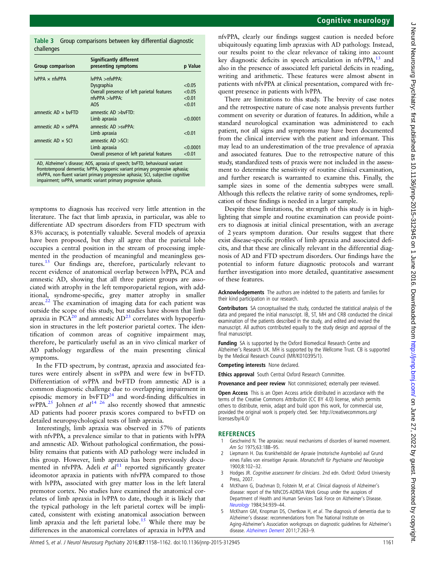<span id="page-3-0"></span>Table 3 Group comparisons between key differential diagnostic challenges

| <b>Group comparison</b>     | Significantly different<br>presenting symptoms | p Value   |
|-----------------------------|------------------------------------------------|-----------|
| $IVPPA \times nfvPPA$       | IVPPA > nfvPPA                                 |           |
|                             | Dysgraphia                                     | < 0.05    |
|                             | Overall presence of left parietal features     | < 0.05    |
|                             | nfvPPA >lvPPA:                                 | < 0.01    |
|                             | AOS                                            | < 0.01    |
| amnestic $AD \times b$ vFTD | amnestic AD >bvFTD:                            |           |
|                             | Limb apraxia                                   | < 0.0001  |
| amnestic $AD \times sVPPA$  | amnestic AD > svPPA:                           |           |
|                             | Limb apraxia                                   | < 0.01    |
| amnestic $AD \times SCI$    | amnestic $AD > SCI$ :                          |           |
|                             | Limb apraxia                                   | < 0.0001  |
|                             | Overall presence of left parietal features     | ${<}0.01$ |

AD, Alzheimer's disease; AOS, apraxia of speech; bvFTD, behavioural variant frontotemporal dementia; lvPPA, logopenic variant primary progressive aphasia; nfvPPA, non-fluent variant primary progressive aphasia; SCI, subjective cognitive impairment; svPPA, semantic variant primary progressive aphasia.

symptoms to diagnosis has received very little attention in the literature. The fact that limb apraxia, in particular, was able to differentiate AD spectrum disorders from FTD spectrum with 83% accuracy, is potentially valuable. Several models of apraxia have been proposed, but they all agree that the parietal lobe occupies a central position in the stream of processing implemented in the production of meaningful and meaningless ges-tures.<sup>[15](#page-4-0)</sup> Our findings are, therefore, particularly relevant to recent evidence of anatomical overlap between lvPPA, PCA and amnestic AD, showing that all three patient groups are associated with atrophy in the left temporoparietal region, with additional, syndrome-specific, grey matter atrophy in smaller areas. $^{22}$  $^{22}$  $^{22}$  The examination of imaging data for each patient was outside the scope of this study, but studies have shown that limb apraxia in  $PCA<sup>20</sup>$  $PCA<sup>20</sup>$  $PCA<sup>20</sup>$  and amnestic  $AD<sup>23</sup>$  correlates with hypoperfusion in structures in the left posterior parietal cortex. The identification of common areas of cognitive impairment may, therefore, be particularly useful as an in vivo clinical marker of AD pathology regardless of the main presenting clinical symptoms.

In the FTD spectrum, by contrast, apraxia and associated features were entirely absent in svPPA and were few in bvFTD. Differentiation of svPPA and bvFTD from amnestic AD is a common diagnostic challenge due to overlapping impairment in episodic memory in  $b\nu FTD^{24}$  $b\nu FTD^{24}$  $b\nu FTD^{24}$  and word-finding difficulties in svPPA.<sup>[25](#page-4-0)</sup> Johnen et al<sup>[14 26](#page-4-0)</sup> also recently showed that amnestic AD patients had poorer praxis scores compared to bvFTD on detailed neuropsychological tests of limb apraxia.

Interestingly, limb apraxia was observed in 57% of patients with nfvPPA, a prevalence similar to that in patients with lvPPA and amnestic AD. Without pathological confirmation, the possibility remains that patients with AD pathology were included in this group. However, limb apraxia has been previously documented in nfvPPA. Adeli et  $al<sup>11</sup>$  $al<sup>11</sup>$  $al<sup>11</sup>$  reported significantly greater ideomotor apraxia in patients with nfvPPA compared to those with lvPPA, associated with grey matter loss in the left lateral premotor cortex. No studies have examined the anatomical correlates of limb apraxia in lvPPA to date, though it is likely that the typical pathology in the left parietal cortex will be implicated, consistent with existing anatomical association between limb apraxia and the left parietal lobe.<sup>[15](#page-4-0)</sup> While there may be differences in the anatomical correlates of apraxia in lvPPA and

nfvPPA, clearly our findings suggest caution is needed before ubiquitously equating limb apraxias with AD pathology. Instead, our results point to the clear relevance of taking into account key diagnostic deficits in speech articulation in  $n f v PPA$ ,  $13$  and also in the presence of associated left parietal deficits in reading, writing and arithmetic. These features were almost absent in patients with nfvPPA at clinical presentation, compared with frequent presence in patients with lvPPA.

There are limitations to this study. The brevity of case notes and the retrospective nature of case note analysis prevents further comment on severity or duration of features. In addition, while a standard neurological examination was administered to each patient, not all signs and symptoms may have been documented from the clinical interview with the patient and informant. This may lead to an underestimation of the true prevalence of apraxia and associated features. Due to the retrospective nature of this study, standardized tests of praxis were not included in the assessment to determine the sensitivity of routine clinical examination, and further research is warranted to examine this. Finally, the sample sizes in some of the dementia subtypes were small. Although this reflects the relative rarity of some syndromes, replication of these findings is needed in a larger sample.

Despite these limitations, the strength of this study is in highlighting that simple and routine examination can provide pointers to diagnosis at initial clinical presentation, with an average of 2 years symptom duration. Our results suggest that there exist disease-specific profiles of limb apraxia and associated deficits, and that these are clinically relevant in the differential diagnosis of AD and FTD spectrum disorders. Our findings have the potential to inform future diagnostic protocols and warrant further investigation into more detailed, quantitative assessment of these features.

Acknowledgements The authors are indebted to the patients and families for their kind participation in our research.

Contributors SA conceptualised the study, conducted the statistical analysis of the data and prepared the initial manuscript. IB, ST, MH and CRB conducted the clinical examination of the patients described in the study, and edited and revised the manuscript. All authors contributed equally to the study design and approval of the final manuscript.

**Funding** SA is supported by the Oxford Biomedical Research Centre and Alzheimer's Research UK. MH is supported by the Wellcome Trust. CB is supported by the Medical Research Council (MR/K010395/1).

Competing interests None declared.

Ethics approval South Central Oxford Research Committee.

Provenance and peer review Not commissioned; externally peer reviewed.

Open Access This is an Open Access article distributed in accordance with the terms of the Creative Commons Attribution (CC BY 4.0) license, which permits others to distribute, remix, adapt and build upon this work, for commercial use, provided the original work is properly cited. See: [http://creativecommons.org/](http://creativecommons.org/licenses/by/4.0/) [licenses/by/4.0/](http://creativecommons.org/licenses/by/4.0/)

## **REFERENCES**

- Geschwind N. The apraxias: neural mechanisms of disorders of learned movement. Am Sci 1975;63:188–95.
- 2 Liepmann H. Das Krankheitsbild der Apraxie (motorische Asymbolie) auf Grund eines Falles von einseitiger Apraxie. Monatschrift für Psychiatrie und Neurologie 1900;8:102–32.
- 3 Hodges JR. Cognitive assessment for clinicians. 2nd edn. Oxford: Oxford University Press, 2007.
- McKhann G, Drachman D, Folstein M, et al. Clinical diagnosis of Alzheimer's disease: report of the NINCDS-ADRDA Work Group under the auspices of Department of Health and Human Services Task Force on Alzheimer's Disease. [Neurology](http://dx.doi.org/10.1212/WNL.34.7.939) 1984;34:939–44.
- 5 McKhann GM, Knopman DS, Chertkow H, et al. The diagnosis of dementia due to Alzheimer's disease: recommendations from The National Institute on Aging-Alzheimer's Association workgroups on diagnostic guidelines for Alzheimer's disease. [Alzheimers Dement](http://dx.doi.org/10.1016/j.jalz.2011.03.005) 2011;7:263–9.